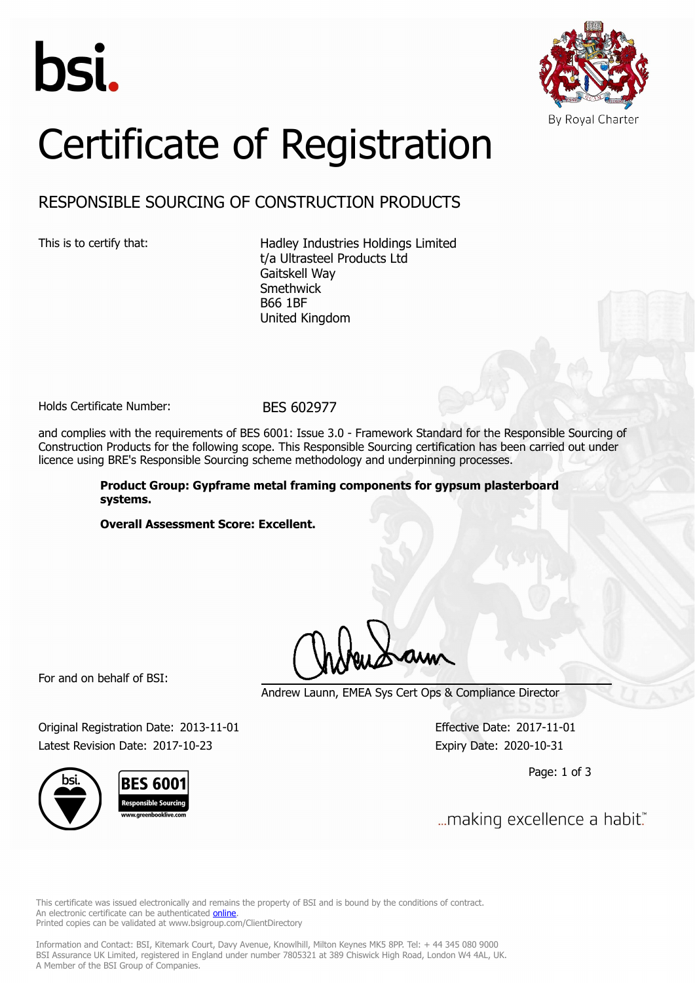



# Certificate of Registration

# RESPONSIBLE SOURCING OF CONSTRUCTION PRODUCTS

This is to certify that: Hadley Industries Holdings Limited t/a Ultrasteel Products Ltd Gaitskell Way Smethwick B66 1BF United Kingdom

Holds Certificate Number: BES 602977

and complies with the requirements of BES 6001: Issue 3.0 - Framework Standard for the Responsible Sourcing of Construction Products for the following scope. This Responsible Sourcing certification has been carried out under licence using BRE's Responsible Sourcing scheme methodology and underpinning processes.

> **Product Group: Gypframe metal framing components for gypsum plasterboard systems.**

**Overall Assessment Score: Excellent.**

For and on behalf of BSI:

Andrew Launn, EMEA Sys Cert Ops & Compliance Director

Original Registration Date: 2013-11-01 Effective Date: 2017-11-01 Latest Revision Date: 2017-10-23 Expiry Date: 2020-10-31

Page: 1 of 3

... making excellence a habit."

This certificate was issued electronically and remains the property of BSI and is bound by the conditions of contract. An electronic certificate can be authenticated **[online](https://pgplus.bsigroup.com/CertificateValidation/CertificateValidator.aspx?CertificateNumber=BES+602977&ReIssueDate=23%2f10%2f2017&Template=uk)**. Printed copies can be validated at www.bsigroup.com/ClientDirectory

Information and Contact: BSI, Kitemark Court, Davy Avenue, Knowlhill, Milton Keynes MK5 8PP. Tel: + 44 345 080 9000 BSI Assurance UK Limited, registered in England under number 7805321 at 389 Chiswick High Road, London W4 4AL, UK. A Member of the BSI Group of Companies.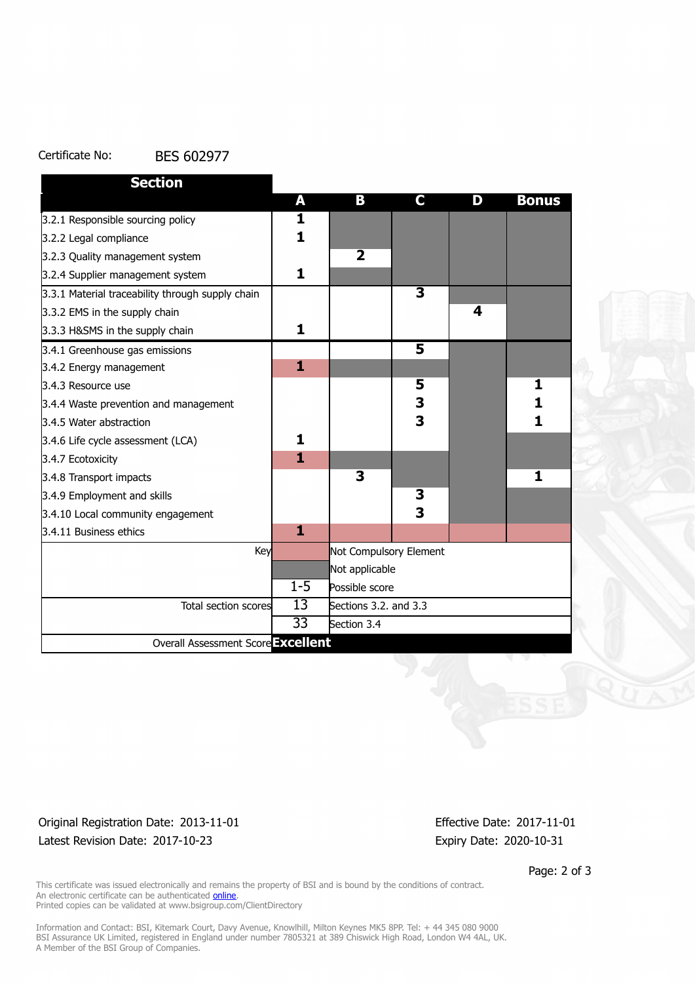#### Certificate No: BES 602977

| <b>Section</b>                                   |                 |                         |                         |   |              |
|--------------------------------------------------|-----------------|-------------------------|-------------------------|---|--------------|
|                                                  | A               | B                       | C.                      | D | <b>Bonus</b> |
| 3.2.1 Responsible sourcing policy                | 1               |                         |                         |   |              |
| 3.2.2 Legal compliance                           | $\mathbf{1}$    |                         |                         |   |              |
| 3.2.3 Quality management system                  |                 | $\overline{\mathbf{2}}$ |                         |   |              |
| 3.2.4 Supplier management system                 | $\mathbf{1}$    |                         |                         |   |              |
| 3.3.1 Material traceability through supply chain |                 |                         | $\overline{\mathbf{3}}$ |   |              |
| 3.3.2 EMS in the supply chain                    |                 |                         |                         | 4 |              |
| 3.3.3 H&SMS in the supply chain                  | 1               |                         |                         |   |              |
| 3.4.1 Greenhouse gas emissions                   |                 |                         | $\overline{\mathbf{5}}$ |   |              |
| 3.4.2 Energy management                          | 1               |                         |                         |   |              |
| 3.4.3 Resource use                               |                 |                         | 5                       |   | 1            |
| 3.4.4 Waste prevention and management            |                 |                         | 3                       |   | 1            |
| 3.4.5 Water abstraction                          |                 |                         | $\overline{\mathbf{3}}$ |   | 1            |
| 3.4.6 Life cycle assessment (LCA)                | 1               |                         |                         |   |              |
| 3.4.7 Ecotoxicity                                | $\mathbf{1}$    |                         |                         |   |              |
| 3.4.8 Transport impacts                          |                 | 3                       |                         |   | 1            |
| 3.4.9 Employment and skills                      |                 |                         | 3                       |   |              |
| 3.4.10 Local community engagement                |                 |                         | 3                       |   |              |
| 3.4.11 Business ethics                           | 1               |                         |                         |   |              |
| Key                                              |                 | Not Compulsory Element  |                         |   |              |
|                                                  |                 | Not applicable          |                         |   |              |
|                                                  | $1 - 5$         | Possible score          |                         |   |              |
| Total section scores                             | 13              | Sections 3.2. and 3.3   |                         |   |              |
|                                                  | $\overline{33}$ | Section 3.4             |                         |   |              |
| Overall Assessment Score Excellent               |                 |                         |                         |   |              |

## Original Registration Date: 2013-11-01 Effective Date: 2017-11-01 Latest Revision Date: 2017-10-23 Expiry Date: 2020-10-31

Page: 2 of 3

This certificate was issued electronically and remains the property of BSI and is bound by the conditions of contract. An electronic certificate can be authenticated **[online](https://pgplus.bsigroup.com/CertificateValidation/CertificateValidator.aspx?CertificateNumber=BES+602977&ReIssueDate=23%2f10%2f2017&Template=uk)**. Printed copies can be validated at www.bsigroup.com/ClientDirectory

Information and Contact: BSI, Kitemark Court, Davy Avenue, Knowlhill, Milton Keynes MK5 8PP. Tel: + 44 345 080 9000 BSI Assurance UK Limited, registered in England under number 7805321 at 389 Chiswick High Road, London W4 4AL, UK. A Member of the BSI Group of Companies.